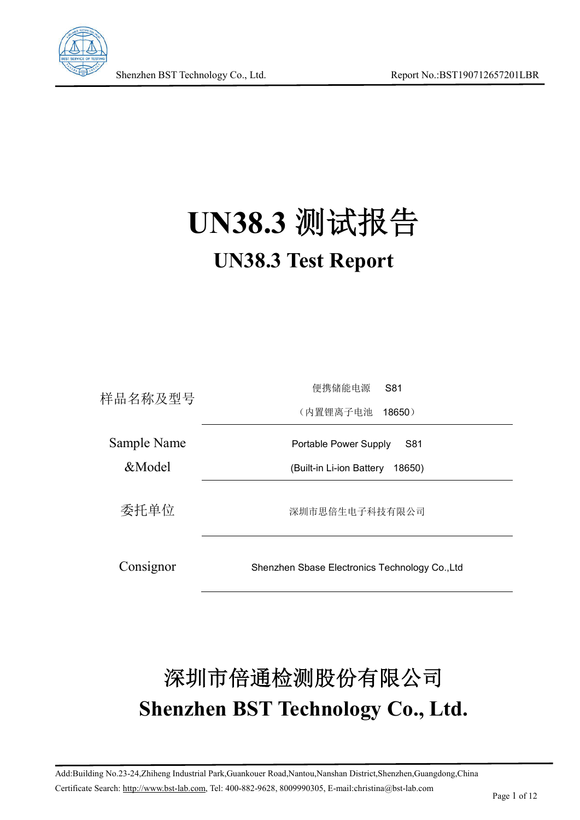

# **UN38.3** 测试报告 **UN38.3 Test Report**

| 样品名称及型号     | 便携储能电源<br>S81                                  |
|-------------|------------------------------------------------|
|             | (内置锂离子电池<br>$18650$ )                          |
| Sample Name | Portable Power Supply<br>S81                   |
| &Model      | (Built-in Li-ion Battery<br>18650)             |
| 委托单位        | 深圳市思倍生电子科技有限公司                                 |
| Consignor   | Shenzhen Sbase Electronics Technology Co., Ltd |

# 深圳市倍通检测股份有限公司 **Shenzhen BST Technology Co., Ltd.**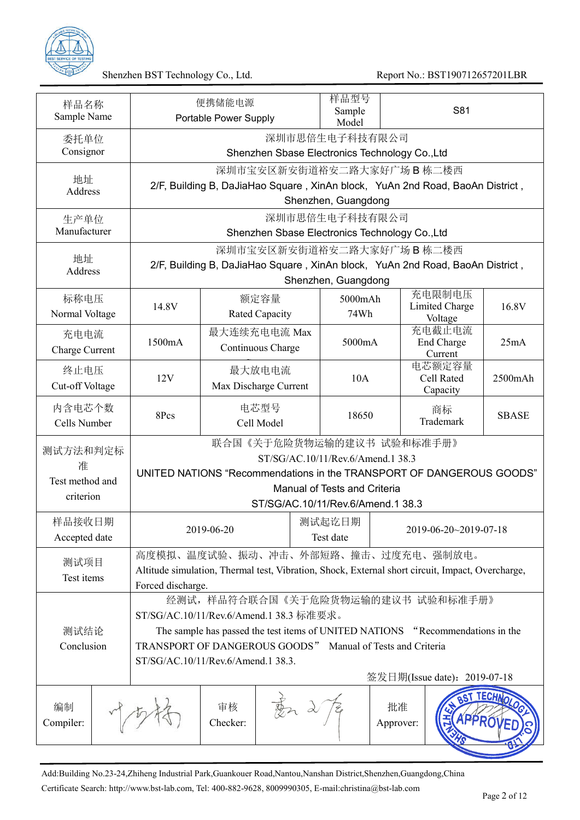

| 样品名称<br>Sample Name                           |                                                                                                                                                                                                                                                                                                    | 便携储能电源<br>Portable Power Supply                                                                                                                                             | 样品型号<br>Sample<br>Model      |                 | S81                                        |               |
|-----------------------------------------------|----------------------------------------------------------------------------------------------------------------------------------------------------------------------------------------------------------------------------------------------------------------------------------------------------|-----------------------------------------------------------------------------------------------------------------------------------------------------------------------------|------------------------------|-----------------|--------------------------------------------|---------------|
| 委托单位<br>Consignor                             |                                                                                                                                                                                                                                                                                                    | Shenzhen Sbase Electronics Technology Co., Ltd                                                                                                                              | 深圳市思倍生电子科技有限公司               |                 |                                            |               |
| 地址<br>Address                                 |                                                                                                                                                                                                                                                                                                    | 深圳市宝安区新安街道裕安二路大家好广场 B 栋二楼西<br>2/F, Building B, DaJiaHao Square, XinAn block, YuAn 2nd Road, BaoAn District,                                                                 | Shenzhen, Guangdong          |                 |                                            |               |
| 生产单位<br>Manufacturer                          |                                                                                                                                                                                                                                                                                                    |                                                                                                                                                                             | 深圳市思倍生电子科技有限公司               |                 |                                            |               |
|                                               |                                                                                                                                                                                                                                                                                                    | Shenzhen Sbase Electronics Technology Co., Ltd<br>深圳市宝安区新安街道裕安二路大家好广场 B 栋二楼西                                                                                                |                              |                 |                                            |               |
| 地址<br>Address                                 |                                                                                                                                                                                                                                                                                                    | 2/F, Building B, DaJiaHao Square, XinAn block, YuAn 2nd Road, BaoAn District,                                                                                               | Shenzhen, Guangdong          |                 |                                            |               |
| 标称电压<br>Normal Voltage                        | 14.8V                                                                                                                                                                                                                                                                                              | 额定容量<br>Rated Capacity                                                                                                                                                      | 5000mAh<br>74Wh              |                 | 充电限制电压<br><b>Limited Charge</b><br>Voltage | 16.8V         |
| 充电电流<br>Charge Current                        | 1500mA                                                                                                                                                                                                                                                                                             | 最大连续充电电流 Max<br>Continuous Charge                                                                                                                                           | 5000mA                       |                 | 充电截止电流<br>End Charge<br>Current            | 25mA          |
| 终止电压<br>Cut-off Voltage                       | 12V                                                                                                                                                                                                                                                                                                | 最大放电电流<br>Max Discharge Current                                                                                                                                             | 10A                          |                 | 电芯额定容量<br>Cell Rated<br>Capacity           | 2500mAh       |
| 内含电芯个数<br>Cells Number                        | 8Pcs                                                                                                                                                                                                                                                                                               | 电芯型号<br>Cell Model                                                                                                                                                          | 18650                        |                 | 商标<br>Trademark                            | <b>SBASE</b>  |
| 测试方法和判定标<br>准<br>Test method and<br>criterion |                                                                                                                                                                                                                                                                                                    | 联合国《关于危险货物运输的建议书 试验和标准手册》<br>ST/SG/AC.10/11/Rev.6/Amend.1 38.3<br>UNITED NATIONS "Recommendations in the TRANSPORT OF DANGEROUS GOODS"<br>ST/SG/AC.10/11/Rev.6/Amend.1 38.3 | Manual of Tests and Criteria |                 |                                            |               |
| 样品接收日期<br>Accepted date                       |                                                                                                                                                                                                                                                                                                    | 2019-06-20                                                                                                                                                                  | 测试起讫日期<br>Test date          |                 | 2019-06-20~2019-07-18                      |               |
| 测试项目<br>Test items                            | Forced discharge.                                                                                                                                                                                                                                                                                  | 高度模拟、温度试验、振动、冲击、外部短路、撞击、过度充电、强制放电。<br>Altitude simulation, Thermal test, Vibration, Shock, External short circuit, Impact, Overcharge,                                      |                              |                 |                                            |               |
| 测试结论<br>Conclusion                            | 经测试,样品符合联合国《关于危险货物运输的建议书 试验和标准手册》<br>ST/SG/AC.10/11/Rev.6/Amend.1 38.3 标准要求。<br>The sample has passed the test items of UNITED NATIONS "Recommendations in the<br>TRANSPORT OF DANGEROUS GOODS" Manual of Tests and Criteria<br>ST/SG/AC.10/11/Rev.6/Amend.1 38.3.<br>签发日期(Issue date): 2019-07-18 |                                                                                                                                                                             |                              |                 |                                            |               |
| 编制<br>Compiler:                               |                                                                                                                                                                                                                                                                                                    | 审核<br>Checker:                                                                                                                                                              |                              | 批准<br>Approver: | PPROV                                      | <b>TECHNO</b> |

Add:Building No.23-24,Zhiheng Industrial Park,Guankouer Road,Nantou,Nanshan District,Shenzhen,Guangdong,China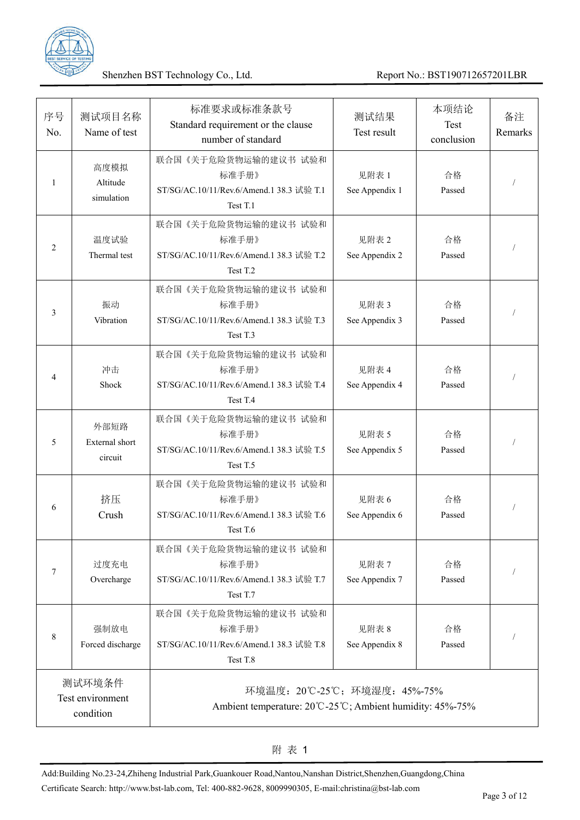

| 序号<br>No. | 测试项目名称<br>Name of test                   | 标准要求或标准条款号<br>Standard requirement or the clause<br>number of standard                    | 测试结果<br>Test result     | 本项结论<br>Test<br>conclusion | 备注<br>Remarks |
|-----------|------------------------------------------|-------------------------------------------------------------------------------------------|-------------------------|----------------------------|---------------|
| 1         | 高度模拟<br>Altitude<br>simulation           | 联合国《关于危险货物运输的建议书 试验和<br>标准手册》<br>ST/SG/AC.10/11/Rev.6/Amend.1 38.3 试验 T.1<br>Test T.1     | 见附表 1<br>See Appendix 1 | 合格<br>Passed               |               |
| 2         | 温度试验<br>Thermal test                     | 联合国《关于危险货物运输的建议书 试验和<br>标准手册》<br>ST/SG/AC.10/11/Rev.6/Amend.1 38.3 试验 T.2<br>Test T.2     | 见附表 2<br>See Appendix 2 | 合格<br>Passed               |               |
| 3         | 振动<br>Vibration                          | 联合国《关于危险货物运输的建议书 试验和<br>标准手册》<br>ST/SG/AC.10/11/Rev.6/Amend.1 38.3 试验 T.3<br>Test T.3     | 见附表 3<br>See Appendix 3 | 合格<br>Passed               |               |
| 4         | 冲击<br>Shock                              | 联合国《关于危险货物运输的建议书 试验和<br>标准手册》<br>ST/SG/AC.10/11/Rev.6/Amend.1 38.3 试验 T.4<br>Test T.4     | 见附表 4<br>See Appendix 4 | 合格<br>Passed               |               |
| 5         | 外部短路<br><b>External</b> short<br>circuit | 联合国《关于危险货物运输的建议书 试验和<br>标准手册》<br>ST/SG/AC.10/11/Rev.6/Amend.1 38.3 试验 T.5<br>Test T.5     | 见附表 5<br>See Appendix 5 | 合格<br>Passed               |               |
| 6         | 挤压<br>Crush                              | 联合国《关于危险货物运输的建议书 试验和<br>标准手册》<br>ST/SG/AC.10/11/Rev.6/Amend.1 38.3 试验 T.6<br>Test T.6     | 见附表 6<br>See Appendix 6 | 合格<br>Passed               |               |
| 7         | 过度充电<br>Overcharge                       | 联合国《关于危险货物运输的建议书 试验和<br>标准手册》<br>ST/SG/AC.10/11/Rev.6/Amend.1 38.3 试验 T.7<br>Test T.7     | 见附表 7<br>See Appendix 7 | 合格<br>Passed               |               |
| 8         | 强制放电<br>Forced discharge                 | 联合国《关于危险货物运输的建议书 试验和<br>标准手册》<br>ST/SG/AC.10/11/Rev.6/Amend.1 38.3 试验 T.8<br>Test T.8     | 见附表 8<br>See Appendix 8 | 合格<br>Passed               |               |
|           | 测试环境条件<br>Test environment<br>condition  | 环境温度: 20℃-25℃; 环境湿度: 45%-75%<br>Ambient temperature: 20°C-25°C; Ambient humidity: 45%-75% |                         |                            |               |

Add:Building No.23-24,Zhiheng Industrial Park,Guankouer Road,Nantou,Nanshan District,Shenzhen,Guangdong,China Certificate Search: http://www.bst-lab.com, Tel: 400-882-9628, 8009990305, E-mail:christina@bst-lab.com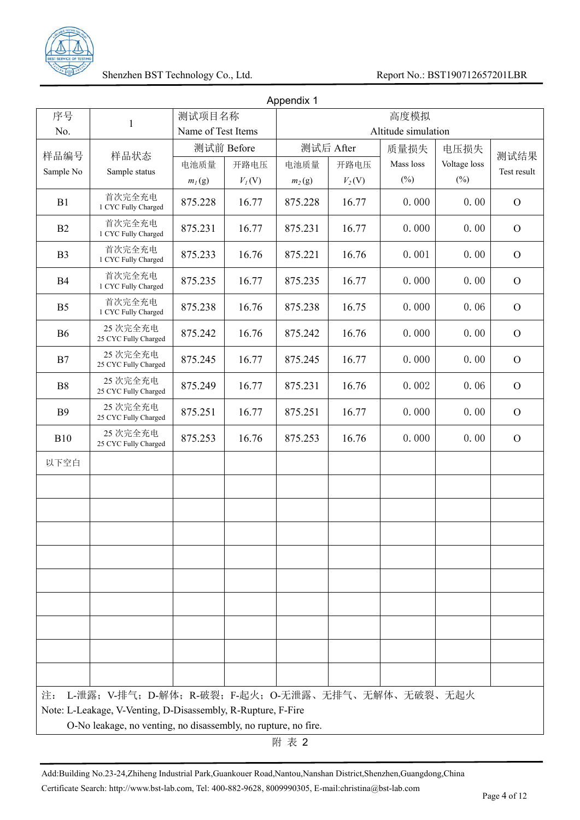

|                |                                                                |                    |            | Appendix 1 |           |                     |              |               |
|----------------|----------------------------------------------------------------|--------------------|------------|------------|-----------|---------------------|--------------|---------------|
| 序号             | $\mathbf{1}$                                                   | 测试项目名称             |            |            |           | 高度模拟                |              |               |
| No.            |                                                                | Name of Test Items |            |            |           | Altitude simulation |              |               |
| 样品编号           | 样品状态                                                           |                    | 测试前 Before |            | 测试后 After | 质量损失                | 电压损失         | 测试结果          |
| Sample No      | Sample status                                                  | 电池质量               | 开路电压       | 电池质量       | 开路电压      | Mass loss           | Voltage loss | Test result   |
|                |                                                                | $m_l(g)$           | $V_I(V)$   | $m_2(g)$   | $V_2(V)$  | $(\%)$              | $(\%)$       |               |
| B1             | 首次完全充电<br>1 CYC Fully Charged                                  | 875.228            | 16.77      | 875.228    | 16.77     | 0.000               | 0.00         | $\mathbf{O}$  |
| B <sub>2</sub> | 首次完全充电<br>1 CYC Fully Charged                                  | 875.231            | 16.77      | 875.231    | 16.77     | 0.000               | 0.00         | $\mathbf{O}$  |
| B <sub>3</sub> | 首次完全充电<br>1 CYC Fully Charged                                  | 875.233            | 16.76      | 875.221    | 16.76     | 0.001               | 0.00         | $\mathbf{O}$  |
| B4             | 首次完全充电<br>1 CYC Fully Charged                                  | 875.235            | 16.77      | 875.235    | 16.77     | 0.000               | 0.00         | $\mathcal{O}$ |
| B <sub>5</sub> | 首次完全充电<br>1 CYC Fully Charged                                  | 875.238            | 16.76      | 875.238    | 16.75     | 0.000               | 0.06         | $\mathbf{O}$  |
| <b>B6</b>      | 25 次完全充电<br>25 CYC Fully Charged                               | 875.242            | 16.76      | 875.242    | 16.76     | 0.000               | 0.00         | $\mathbf{O}$  |
| B7             | 25 次完全充电<br>25 CYC Fully Charged                               | 875.245            | 16.77      | 875.245    | 16.77     | 0.000               | 0.00         | $\mathbf{O}$  |
| <b>B8</b>      | 25 次完全充电<br>25 CYC Fully Charged                               | 875.249            | 16.77      | 875.231    | 16.76     | 0.002               | 0.06         | $\mathcal{O}$ |
| <b>B</b> 9     | 25 次完全充电<br>25 CYC Fully Charged                               | 875.251            | 16.77      | 875.251    | 16.77     | 0.000               | 0.00         | $\mathbf{O}$  |
| <b>B10</b>     | 25 次完全充电<br>25 CYC Fully Charged                               | 875.253            | 16.76      | 875.253    | 16.76     | 0.000               | 0.00         | $\mathbf{O}$  |
| 以下空白           |                                                                |                    |            |            |           |                     |              |               |
|                |                                                                |                    |            |            |           |                     |              |               |
|                |                                                                |                    |            |            |           |                     |              |               |
|                |                                                                |                    |            |            |           |                     |              |               |
|                |                                                                |                    |            |            |           |                     |              |               |
|                |                                                                |                    |            |            |           |                     |              |               |
|                |                                                                |                    |            |            |           |                     |              |               |
|                |                                                                |                    |            |            |           |                     |              |               |
|                |                                                                |                    |            |            |           |                     |              |               |
| 注:             | L-泄露; V-排气; D-解体; R-破裂; F-起火; O-无泄露、无排气、无解体、无破裂、无起火            |                    |            |            |           |                     |              |               |
|                | Note: L-Leakage, V-Venting, D-Disassembly, R-Rupture, F-Fire   |                    |            |            |           |                     |              |               |
|                | O-No leakage, no venting, no disassembly, no rupture, no fire. |                    |            |            |           |                     |              |               |

附 表 2

Add:Building No.23-24,Zhiheng Industrial Park,Guankouer Road,Nantou,Nanshan District,Shenzhen,Guangdong,China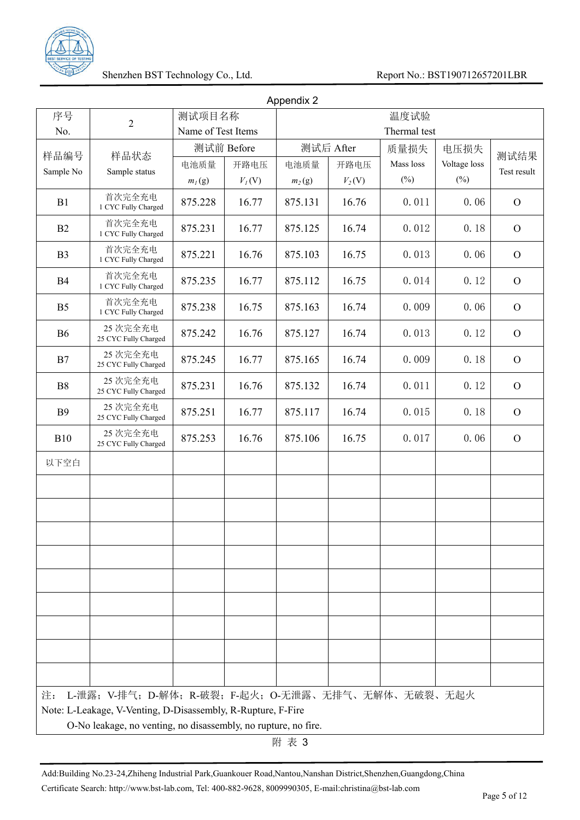

|                |                                                                |                    |          | Appendix 2 |           |              |              |                |
|----------------|----------------------------------------------------------------|--------------------|----------|------------|-----------|--------------|--------------|----------------|
| 序号             | $\overline{2}$                                                 | 测试项目名称             |          |            |           | 温度试验         |              |                |
| No.            |                                                                | Name of Test Items |          |            |           | Thermal test |              |                |
| 样品编号           | 样品状态                                                           | 测试前 Before         |          |            | 测试后 After | 质量损失         | 电压损失         | 测试结果           |
| Sample No      | Sample status                                                  | 电池质量               | 开路电压     | 电池质量       | 开路电压      | Mass loss    | Voltage loss | Test result    |
|                |                                                                | $m_l(g)$           | $V_I(V)$ | $m_2(g)$   | $V_2(V)$  | $(\% )$      | $(\%)$       |                |
| B1             | 首次完全充电<br>1 CYC Fully Charged                                  | 875.228            | 16.77    | 875.131    | 16.76     | 0.011        | 0.06         | $\mathbf{O}$   |
| B <sub>2</sub> | 首次完全充电<br>1 CYC Fully Charged                                  | 875.231            | 16.77    | 875.125    | 16.74     | 0.012        | 0.18         | $\mathbf{O}$   |
| B <sub>3</sub> | 首次完全充电<br>1 CYC Fully Charged                                  | 875.221            | 16.76    | 875.103    | 16.75     | 0.013        | 0.06         | $\mathbf{O}$   |
| B4             | 首次完全充电<br>1 CYC Fully Charged                                  | 875.235            | 16.77    | 875.112    | 16.75     | 0.014        | 0.12         | $\mathcal{O}$  |
| B <sub>5</sub> | 首次完全充电<br>1 CYC Fully Charged                                  | 875.238            | 16.75    | 875.163    | 16.74     | 0.009        | 0.06         | $\mathbf{O}$   |
| <b>B6</b>      | 25 次完全充电<br>25 CYC Fully Charged                               | 875.242            | 16.76    | 875.127    | 16.74     | 0.013        | 0.12         | $\mathbf{O}$   |
| B7             | 25 次完全充电<br>25 CYC Fully Charged                               | 875.245            | 16.77    | 875.165    | 16.74     | 0.009        | 0.18         | $\overline{O}$ |
| B <sub>8</sub> | 25 次完全充电<br>25 CYC Fully Charged                               | 875.231            | 16.76    | 875.132    | 16.74     | 0.011        | 0.12         | $\mathcal{O}$  |
| <b>B</b> 9     | 25 次完全充电<br>25 CYC Fully Charged                               | 875.251            | 16.77    | 875.117    | 16.74     | 0.015        | 0.18         | $\overline{O}$ |
| <b>B10</b>     | 25 次完全充电<br>25 CYC Fully Charged                               | 875.253            | 16.76    | 875.106    | 16.75     | 0.017        | 0.06         | $\overline{O}$ |
| 以下空白           |                                                                |                    |          |            |           |              |              |                |
|                |                                                                |                    |          |            |           |              |              |                |
|                |                                                                |                    |          |            |           |              |              |                |
|                |                                                                |                    |          |            |           |              |              |                |
|                |                                                                |                    |          |            |           |              |              |                |
|                |                                                                |                    |          |            |           |              |              |                |
|                |                                                                |                    |          |            |           |              |              |                |
|                |                                                                |                    |          |            |           |              |              |                |
|                |                                                                |                    |          |            |           |              |              |                |
| 注:             | L-泄露; V-排气; D-解体; R-破裂; F-起火; O-无泄露、无排气、无解体、无破裂、无起火            |                    |          |            |           |              |              |                |
|                | Note: L-Leakage, V-Venting, D-Disassembly, R-Rupture, F-Fire   |                    |          |            |           |              |              |                |
|                | O-No leakage, no venting, no disassembly, no rupture, no fire. |                    |          |            |           |              |              |                |

附 表 3

Add:Building No.23-24,Zhiheng Industrial Park,Guankouer Road,Nantou,Nanshan District,Shenzhen,Guangdong,China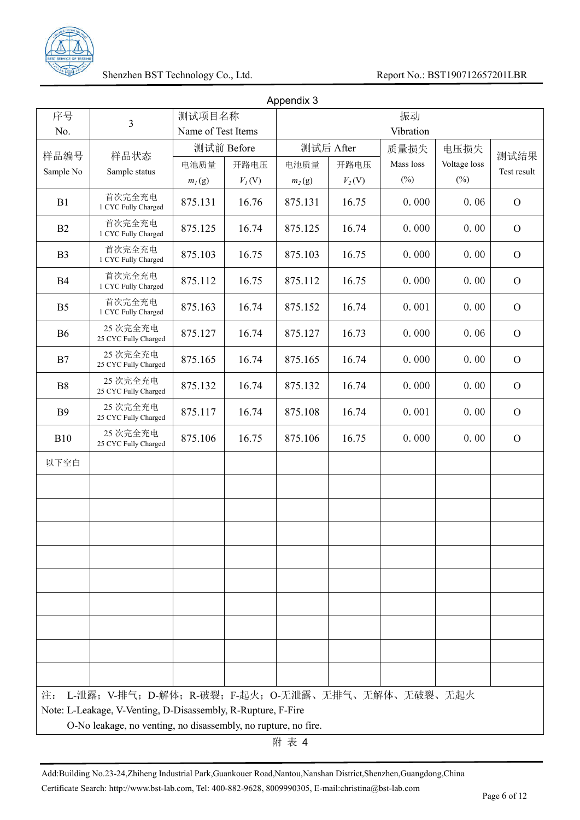

|                |                                                                |                    |            | Appendix 3 |           |           |              |                |
|----------------|----------------------------------------------------------------|--------------------|------------|------------|-----------|-----------|--------------|----------------|
| 序号             | 3                                                              | 测试项目名称             |            |            |           | 振动        |              |                |
| No.            |                                                                | Name of Test Items |            |            |           | Vibration |              |                |
| 样品编号           | 样品状态                                                           |                    | 测试前 Before |            | 测试后 After | 质量损失      | 电压损失         | 测试结果           |
| Sample No      | Sample status                                                  | 电池质量               | 开路电压       | 电池质量       | 开路电压      | Mass loss | Voltage loss | Test result    |
|                |                                                                | $m_l(g)$           | $V_I(V)$   | $m_2(g)$   | $V_2(V)$  | $(\%)$    | $(\%)$       |                |
| B1             | 首次完全充电<br>1 CYC Fully Charged                                  | 875.131            | 16.76      | 875.131    | 16.75     | 0.000     | 0.06         | $\mathbf{O}$   |
| B <sub>2</sub> | 首次完全充电<br>1 CYC Fully Charged                                  | 875.125            | 16.74      | 875.125    | 16.74     | 0.000     | 0.00         | $\overline{O}$ |
| B <sub>3</sub> | 首次完全充电<br>1 CYC Fully Charged                                  | 875.103            | 16.75      | 875.103    | 16.75     | 0.000     | 0.00         | $\overline{O}$ |
| B4             | 首次完全充电<br>1 CYC Fully Charged                                  | 875.112            | 16.75      | 875.112    | 16.75     | 0.000     | 0.00         | $\mathcal{O}$  |
| B <sub>5</sub> | 首次完全充电<br>1 CYC Fully Charged                                  | 875.163            | 16.74      | 875.152    | 16.74     | 0.001     | 0.00         | $\overline{O}$ |
| <b>B6</b>      | 25 次完全充电<br>25 CYC Fully Charged                               | 875.127            | 16.74      | 875.127    | 16.73     | 0.000     | 0.06         | $\overline{O}$ |
| B7             | 25 次完全充电<br>25 CYC Fully Charged                               | 875.165            | 16.74      | 875.165    | 16.74     | 0.000     | 0.00         | $\mathbf{O}$   |
| B <sub>8</sub> | 25 次完全充电<br>25 CYC Fully Charged                               | 875.132            | 16.74      | 875.132    | 16.74     | 0.000     | 0.00         | $\mathcal{O}$  |
| <b>B</b> 9     | 25 次完全充电<br>25 CYC Fully Charged                               | 875.117            | 16.74      | 875.108    | 16.74     | 0.001     | 0.00         | $\overline{O}$ |
| <b>B10</b>     | 25 次完全充电<br>25 CYC Fully Charged                               | 875.106            | 16.75      | 875.106    | 16.75     | 0.000     | 0.00         | $\mathbf{O}$   |
| 以下空白           |                                                                |                    |            |            |           |           |              |                |
|                |                                                                |                    |            |            |           |           |              |                |
|                |                                                                |                    |            |            |           |           |              |                |
|                |                                                                |                    |            |            |           |           |              |                |
|                |                                                                |                    |            |            |           |           |              |                |
|                |                                                                |                    |            |            |           |           |              |                |
|                |                                                                |                    |            |            |           |           |              |                |
|                |                                                                |                    |            |            |           |           |              |                |
|                |                                                                |                    |            |            |           |           |              |                |
| 注:             | L-泄露; V-排气; D-解体; R-破裂; F-起火; O-无泄露、无排气、无解体、无破裂、无起火            |                    |            |            |           |           |              |                |
|                | Note: L-Leakage, V-Venting, D-Disassembly, R-Rupture, F-Fire   |                    |            |            |           |           |              |                |
|                | O-No leakage, no venting, no disassembly, no rupture, no fire. |                    |            |            |           |           |              |                |

附 表 4

Add:Building No.23-24,Zhiheng Industrial Park,Guankouer Road,Nantou,Nanshan District,Shenzhen,Guangdong,China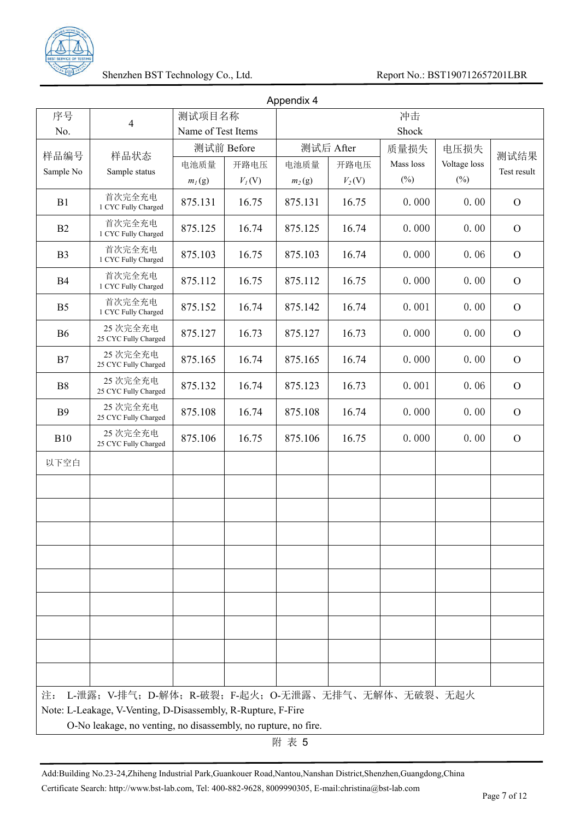

|                |                                                                |                    |            | Appendix 4 |           |           |              |                |
|----------------|----------------------------------------------------------------|--------------------|------------|------------|-----------|-----------|--------------|----------------|
| 序号             | 4                                                              | 测试项目名称             |            |            |           | 冲击        |              |                |
| No.            |                                                                | Name of Test Items |            |            |           | Shock     |              |                |
| 样品编号           | 样品状态                                                           |                    | 测试前 Before |            | 测试后 After | 质量损失      | 电压损失         | 测试结果           |
| Sample No      | Sample status                                                  | 电池质量               | 开路电压       | 电池质量       | 开路电压      | Mass loss | Voltage loss | Test result    |
|                |                                                                | $m_l(g)$           | $V_I(V)$   | $m_2(g)$   | $V_2(V)$  | $(\%)$    | $(\%)$       |                |
| B1             | 首次完全充电<br>1 CYC Fully Charged                                  | 875.131            | 16.75      | 875.131    | 16.75     | 0.000     | 0.00         | $\overline{O}$ |
| B <sub>2</sub> | 首次完全充电<br>1 CYC Fully Charged                                  | 875.125            | 16.74      | 875.125    | 16.74     | 0.000     | 0.00         | $\overline{O}$ |
| B <sub>3</sub> | 首次完全充电<br>1 CYC Fully Charged                                  | 875.103            | 16.75      | 875.103    | 16.74     | 0.000     | 0.06         | $\overline{O}$ |
| B4             | 首次完全充电<br>1 CYC Fully Charged                                  | 875.112            | 16.75      | 875.112    | 16.75     | 0.000     | 0.00         | $\mathcal{O}$  |
| B <sub>5</sub> | 首次完全充电<br>1 CYC Fully Charged                                  | 875.152            | 16.74      | 875.142    | 16.74     | 0.001     | 0.00         | $\overline{O}$ |
| <b>B6</b>      | 25 次完全充电<br>25 CYC Fully Charged                               | 875.127            | 16.73      | 875.127    | 16.73     | 0.000     | 0.00         | $\overline{O}$ |
| B7             | 25 次完全充电<br>25 CYC Fully Charged                               | 875.165            | 16.74      | 875.165    | 16.74     | 0.000     | 0.00         | $\overline{O}$ |
| B <sub>8</sub> | 25 次完全充电<br>25 CYC Fully Charged                               | 875.132            | 16.74      | 875.123    | 16.73     | 0.001     | 0.06         | $\mathcal{O}$  |
| <b>B</b> 9     | 25 次完全充电<br>25 CYC Fully Charged                               | 875.108            | 16.74      | 875.108    | 16.74     | 0.000     | 0.00         | $\overline{O}$ |
| <b>B10</b>     | 25 次完全充电<br>25 CYC Fully Charged                               | 875.106            | 16.75      | 875.106    | 16.75     | 0.000     | 0.00         | $\overline{O}$ |
| 以下空白           |                                                                |                    |            |            |           |           |              |                |
|                |                                                                |                    |            |            |           |           |              |                |
|                |                                                                |                    |            |            |           |           |              |                |
|                |                                                                |                    |            |            |           |           |              |                |
|                |                                                                |                    |            |            |           |           |              |                |
|                |                                                                |                    |            |            |           |           |              |                |
|                |                                                                |                    |            |            |           |           |              |                |
|                |                                                                |                    |            |            |           |           |              |                |
|                |                                                                |                    |            |            |           |           |              |                |
| 注:             | L-泄露; V-排气; D-解体; R-破裂; F-起火; O-无泄露、无排气、无解体、无破裂、无起火            |                    |            |            |           |           |              |                |
|                | Note: L-Leakage, V-Venting, D-Disassembly, R-Rupture, F-Fire   |                    |            |            |           |           |              |                |
|                | O-No leakage, no venting, no disassembly, no rupture, no fire. |                    |            |            |           |           |              |                |

附 表 5

Add:Building No.23-24,Zhiheng Industrial Park,Guankouer Road,Nantou,Nanshan District,Shenzhen,Guangdong,China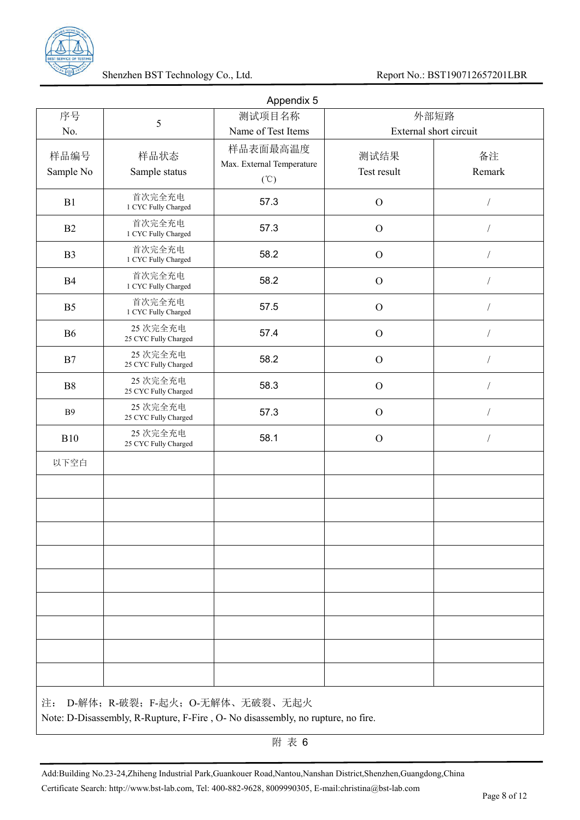

| 序号<br>No.         | 5                                | Appendix 5<br>测试项目名称<br>Name of Test Items                        | 外部短路<br>External short circuit |                |
|-------------------|----------------------------------|-------------------------------------------------------------------|--------------------------------|----------------|
| 样品编号<br>Sample No | 样品状态<br>Sample status            | 样品表面最高温度<br>Max. External Temperature<br>$({}^{\circ}\mathbb{C})$ | 测试结果<br>Test result            | 备注<br>Remark   |
| B1                | 首次完全充电<br>1 CYC Fully Charged    | 57.3                                                              | $\mathbf{O}$                   | $\sqrt{2}$     |
| B2                | 首次完全充电<br>1 CYC Fully Charged    | 57.3                                                              | $\mathbf{O}$                   | $\overline{1}$ |
| B <sub>3</sub>    | 首次完全充电<br>1 CYC Fully Charged    | 58.2                                                              | $\mathbf{O}$                   |                |
| B4                | 首次完全充电<br>1 CYC Fully Charged    | 58.2                                                              | $\mathbf{O}$                   |                |
| B <sub>5</sub>    | 首次完全充电<br>1 CYC Fully Charged    | 57.5                                                              | $\mathbf{O}$                   |                |
| <b>B6</b>         | 25 次完全充电<br>25 CYC Fully Charged | 57.4                                                              | $\mathbf{O}$                   | $\sqrt{2}$     |
| B7                | 25 次完全充电<br>25 CYC Fully Charged | 58.2                                                              | $\mathbf{O}$                   |                |
| B8                | 25 次完全充电<br>25 CYC Fully Charged | 58.3                                                              | $\mathbf{O}$                   |                |
| <b>B9</b>         | 25 次完全充电<br>25 CYC Fully Charged | 57.3                                                              | $\mathbf{O}$                   |                |
| <b>B10</b>        | 25 次完全充电<br>25 CYC Fully Charged | 58.1                                                              | $\mathcal{O}$                  | $\sqrt{2}$     |
| 以下空白              |                                  |                                                                   |                                |                |
|                   |                                  |                                                                   |                                |                |
|                   |                                  |                                                                   |                                |                |
|                   |                                  |                                                                   |                                |                |
|                   |                                  |                                                                   |                                |                |
|                   |                                  |                                                                   |                                |                |
|                   |                                  |                                                                   |                                |                |

附 表 6

Add:Building No.23-24,Zhiheng Industrial Park,Guankouer Road,Nantou,Nanshan District,Shenzhen,Guangdong,China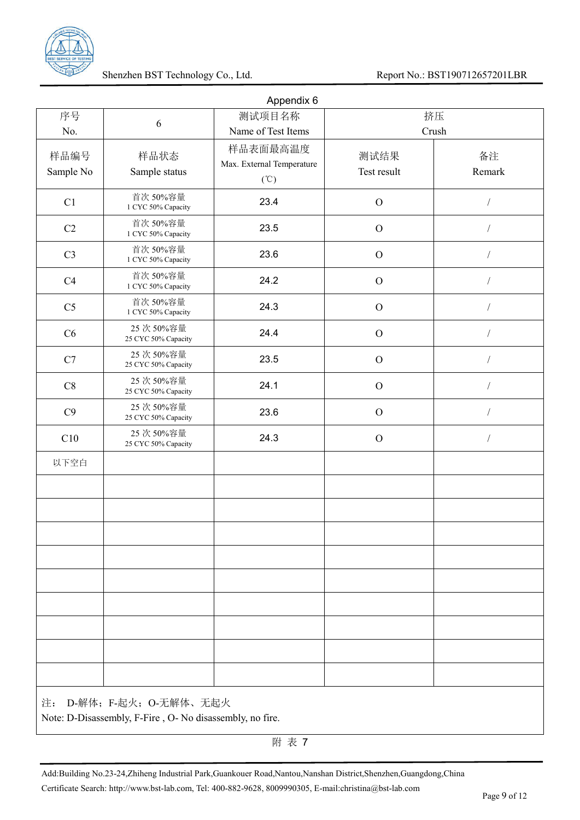

|                   |                                                                                  | Appendix 6                                                        |                     |                |
|-------------------|----------------------------------------------------------------------------------|-------------------------------------------------------------------|---------------------|----------------|
| 序号                | $\sqrt{6}$                                                                       | 测试项目名称                                                            |                     | 挤压             |
| No.               |                                                                                  | Name of Test Items                                                |                     | Crush          |
| 样品编号<br>Sample No | 样品状态<br>Sample status                                                            | 样品表面最高温度<br>Max. External Temperature<br>$({}^{\circ}\mathbb{C})$ | 测试结果<br>Test result | 备注<br>Remark   |
| C1                | 首次 50%容量<br>1 CYC 50% Capacity                                                   | 23.4                                                              | $\mathbf{O}$        |                |
| C2                | 首次 50%容量<br>1 CYC 50% Capacity                                                   | 23.5                                                              | $\mathbf{O}$        | $\overline{1}$ |
| C <sub>3</sub>    | 首次 50%容量<br>1 CYC 50% Capacity                                                   | 23.6                                                              | $\mathbf{O}$        |                |
| C4                | 首次 50%容量<br>1 CYC 50% Capacity                                                   | 24.2                                                              | $\mathbf{O}$        |                |
| C <sub>5</sub>    | 首次 50%容量<br>1 CYC 50% Capacity                                                   | 24.3                                                              | $\mathbf{O}$        |                |
| C6                | 25 次 50%容量<br>25 CYC 50% Capacity                                                | 24.4                                                              | $\mathbf{O}$        |                |
| C7                | 25次50%容量<br>25 CYC 50% Capacity                                                  | 23.5                                                              | $\mathbf{O}$        |                |
| C8                | 25次50%容量<br>25 CYC 50% Capacity                                                  | 24.1                                                              | $\mathbf{O}$        |                |
| C9                | 25次50%容量<br>25 CYC 50% Capacity                                                  | 23.6                                                              | $\mathbf{O}$        |                |
| C10               | 25次50%容量<br>25 CYC 50% Capacity                                                  | 24.3                                                              | $\mathbf{O}$        |                |
| 以下空白              |                                                                                  |                                                                   |                     |                |
|                   |                                                                                  |                                                                   |                     |                |
|                   |                                                                                  |                                                                   |                     |                |
|                   |                                                                                  |                                                                   |                     |                |
|                   |                                                                                  |                                                                   |                     |                |
|                   |                                                                                  |                                                                   |                     |                |
|                   |                                                                                  |                                                                   |                     |                |
|                   |                                                                                  |                                                                   |                     |                |
|                   |                                                                                  |                                                                   |                     |                |
|                   |                                                                                  |                                                                   |                     |                |
| 注:                | D-解体; F-起火; O-无解体、无起火<br>Note: D-Disassembly, F-Fire, O-No disassembly, no fire. |                                                                   |                     |                |

附 表 7

Add:Building No.23-24,Zhiheng Industrial Park,Guankouer Road,Nantou,Nanshan District,Shenzhen,Guangdong,China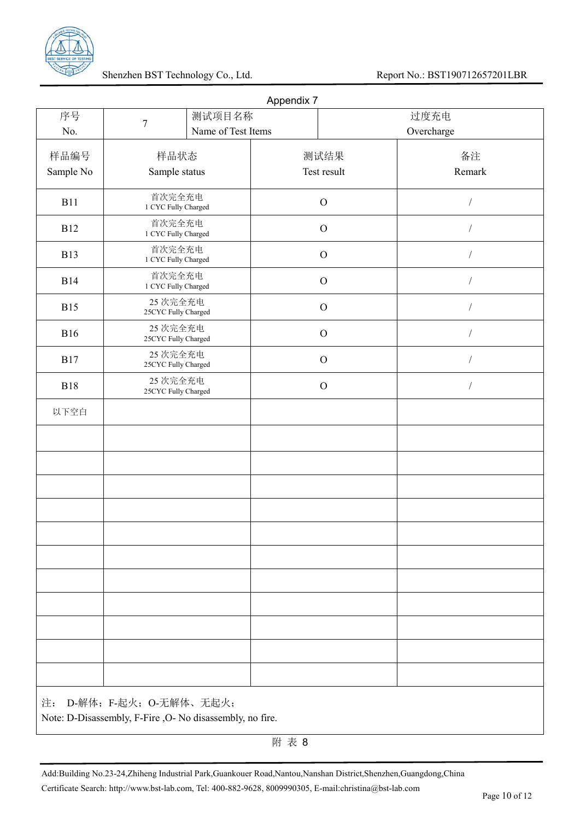

|            |                                                                                    |                    | Appendix 7 |                |            |            |
|------------|------------------------------------------------------------------------------------|--------------------|------------|----------------|------------|------------|
| 序号         | $\boldsymbol{7}$                                                                   | 测试项目名称             |            |                | 过度充电       |            |
| No.        |                                                                                    | Name of Test Items |            |                | Overcharge |            |
| 样品编号       | 样品状态                                                                               |                    |            | 测试结果           |            | 备注         |
| Sample No  | Sample status                                                                      |                    |            | Test result    |            | Remark     |
| <b>B11</b> | 首次完全充电<br>1 CYC Fully Charged                                                      |                    |            | $\mathcal{O}$  |            |            |
| <b>B12</b> | 首次完全充电<br>1 CYC Fully Charged                                                      |                    |            | $\mathcal{O}$  |            |            |
| <b>B13</b> | 首次完全充电<br>1 CYC Fully Charged                                                      |                    |            | $\mathcal{O}$  |            |            |
| <b>B14</b> | 首次完全充电<br>1 CYC Fully Charged                                                      |                    |            | $\overline{O}$ |            |            |
| <b>B15</b> | 25 次完全充电<br>25CYC Fully Charged                                                    |                    |            | $\mathcal{O}$  |            |            |
| <b>B16</b> | 25 次完全充电<br>25CYC Fully Charged                                                    |                    |            | $\mathcal{O}$  |            |            |
| <b>B17</b> | 25 次完全充电<br>25CYC Fully Charged                                                    |                    |            | $\mathcal{O}$  |            |            |
| <b>B18</b> | 25 次完全充电<br>25CYC Fully Charged                                                    |                    |            | $\mathbf O$    |            | $\sqrt{ }$ |
| 以下空白       |                                                                                    |                    |            |                |            |            |
|            |                                                                                    |                    |            |                |            |            |
|            |                                                                                    |                    |            |                |            |            |
|            |                                                                                    |                    |            |                |            |            |
|            |                                                                                    |                    |            |                |            |            |
|            |                                                                                    |                    |            |                |            |            |
|            |                                                                                    |                    |            |                |            |            |
|            |                                                                                    |                    |            |                |            |            |
|            |                                                                                    |                    |            |                |            |            |
|            |                                                                                    |                    |            |                |            |            |
|            |                                                                                    |                    |            |                |            |            |
|            |                                                                                    |                    |            |                |            |            |
| 注:         | D-解体; F-起火; O-无解体、无起火;<br>Note: D-Disassembly, F-Fire , O-No disassembly, no fire. |                    |            |                |            |            |

附 表 8

Add:Building No.23-24,Zhiheng Industrial Park,Guankouer Road,Nantou,Nanshan District,Shenzhen,Guangdong,China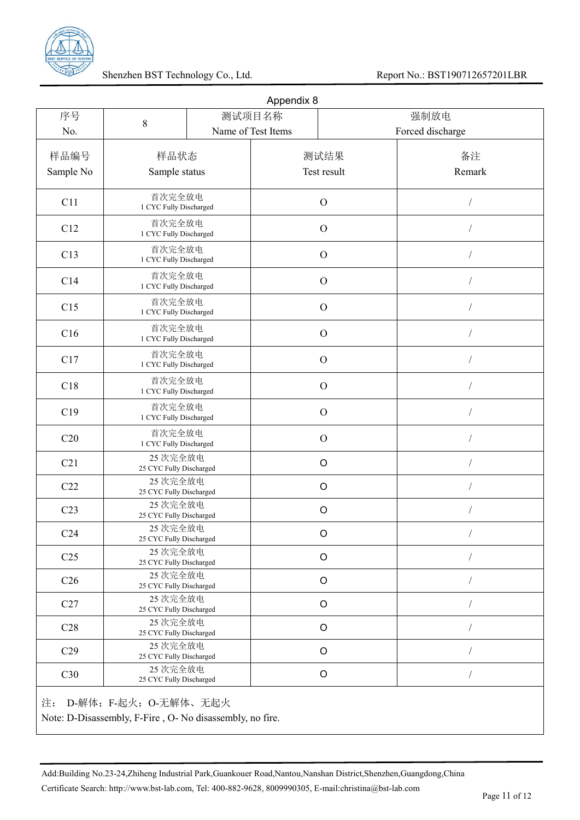

| 序号              | 8                                   | 测试项目名称                                         |               | 强制放电             |
|-----------------|-------------------------------------|------------------------------------------------|---------------|------------------|
| No.             |                                     | Name of Test Items                             |               | Forced discharge |
| 样品编号            | 样品状态                                |                                                | 测试结果          | 备注               |
| Sample No       | Sample status                       |                                                | Test result   | Remark           |
| C11             | 首次完全放电<br>1 CYC Fully Discharged    |                                                | $\mathcal{O}$ |                  |
| C12             | 首次完全放电<br>1 CYC Fully Discharged    |                                                | $\mathcal{O}$ |                  |
| C13             | 首次完全放电<br>1 CYC Fully Discharged    |                                                | $\mathcal{O}$ |                  |
| C14             | 首次完全放电<br>1 CYC Fully Discharged    |                                                | $\mathcal{O}$ |                  |
| C15             | 首次完全放电<br>1 CYC Fully Discharged    |                                                | $\mathcal{O}$ |                  |
| C16             | 首次完全放电<br>1 CYC Fully Discharged    |                                                | $\mathcal{O}$ |                  |
| C17             | 首次完全放电<br>1 CYC Fully Discharged    |                                                | $\mathcal{O}$ |                  |
| C18             | 首次完全放电<br>1 CYC Fully Discharged    |                                                | $\mathcal{O}$ |                  |
| C19             | 首次完全放电<br>1 CYC Fully Discharged    |                                                | $\mathcal{O}$ |                  |
| C20             | 首次完全放电<br>1 CYC Fully Discharged    |                                                | $\mathcal{O}$ |                  |
| C21             |                                     | 25 次完全放电<br>$\circ$<br>25 CYC Fully Discharged |               |                  |
| C22             | 25 次完全放电<br>25 CYC Fully Discharged |                                                | $\circ$       |                  |
| C <sub>23</sub> | 25 次完全放电<br>25 CYC Fully Discharged |                                                | $\circ$       |                  |
| C <sub>24</sub> | 25 次完全放电<br>25 CYC Fully Discharged |                                                | $\circ$       |                  |
| C <sub>25</sub> | 25 次完全放电<br>25 CYC Fully Discharged |                                                | $\circ$       |                  |
| C <sub>26</sub> | 25 次完全放电<br>25 CYC Fully Discharged |                                                | $\circ$       |                  |
| C27             | 25 次完全放电<br>25 CYC Fully Discharged |                                                | $\circ$       |                  |
| C28             | 25 次完全放电<br>25 CYC Fully Discharged |                                                | $\circ$       |                  |
| C29             | 25 次完全放电<br>25 CYC Fully Discharged |                                                | $\circ$       |                  |
| C30             | 25 次完全放电<br>25 CYC Fully Discharged |                                                | $\circ$       |                  |

Add:Building No.23-24,Zhiheng Industrial Park,Guankouer Road,Nantou,Nanshan District,Shenzhen,Guangdong,China